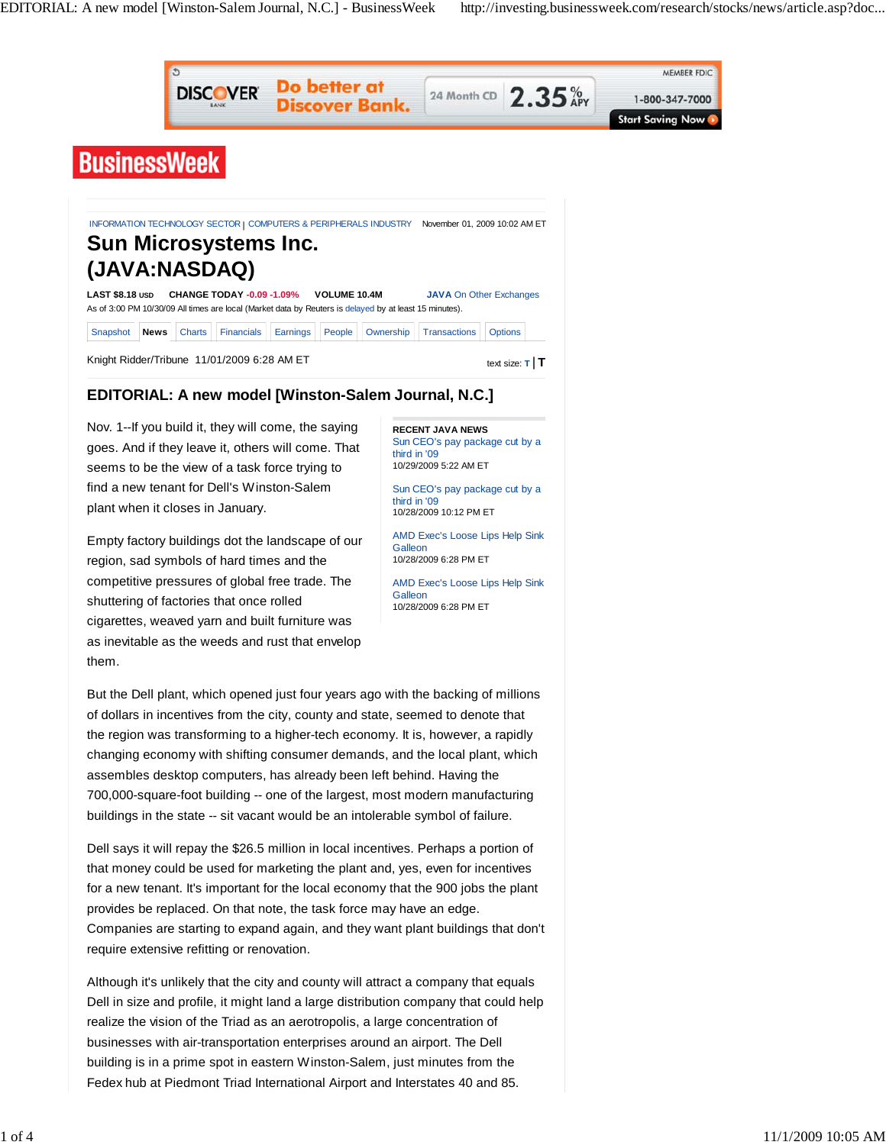

Although it's unlikely that the city and county will attract a company that equals Dell in size and profile, it might land a large distribution company that could help realize the vision of the Triad as an aerotropolis, a large concentration of businesses with air-transportation enterprises around an airport. The Dell building is in a prime spot in eastern Winston-Salem, just minutes from the Fedex hub at Piedmont Triad International Airport and Interstates 40 and 85.